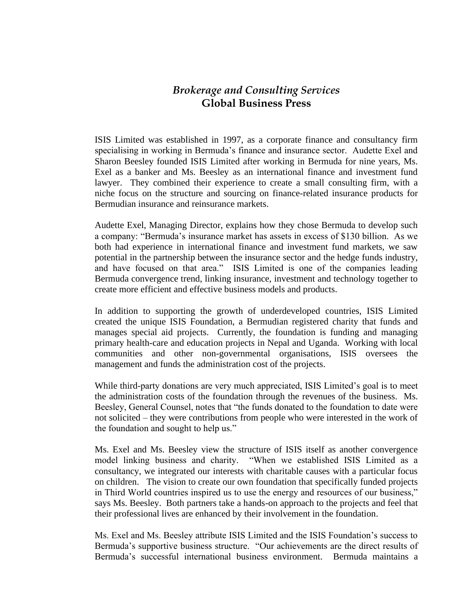## *Brokerage and Consulting Services* **Global Business Press**

ISIS Limited was established in 1997, as a corporate finance and consultancy firm specialising in working in Bermuda's finance and insurance sector. Audette Exel and Sharon Beesley founded ISIS Limited after working in Bermuda for nine years, Ms. Exel as a banker and Ms. Beesley as an international finance and investment fund lawyer. They combined their experience to create a small consulting firm, with a niche focus on the structure and sourcing on finance-related insurance products for Bermudian insurance and reinsurance markets.

Audette Exel, Managing Director, explains how they chose Bermuda to develop such a company: "Bermuda's insurance market has assets in excess of \$130 billion. As we both had experience in international finance and investment fund markets, we saw potential in the partnership between the insurance sector and the hedge funds industry, and have focused on that area." ISIS Limited is one of the companies leading Bermuda convergence trend, linking insurance, investment and technology together to create more efficient and effective business models and products.

In addition to supporting the growth of underdeveloped countries, ISIS Limited created the unique ISIS Foundation, a Bermudian registered charity that funds and manages special aid projects. Currently, the foundation is funding and managing primary health-care and education projects in Nepal and Uganda. Working with local communities and other non-governmental organisations, ISIS oversees the management and funds the administration cost of the projects.

While third-party donations are very much appreciated, ISIS Limited's goal is to meet the administration costs of the foundation through the revenues of the business. Ms. Beesley, General Counsel, notes that "the funds donated to the foundation to date were not solicited – they were contributions from people who were interested in the work of the foundation and sought to help us."

Ms. Exel and Ms. Beesley view the structure of ISIS itself as another convergence model linking business and charity. "When we established ISIS Limited as a consultancy, we integrated our interests with charitable causes with a particular focus on children. The vision to create our own foundation that specifically funded projects in Third World countries inspired us to use the energy and resources of our business," says Ms. Beesley. Both partners take a hands-on approach to the projects and feel that their professional lives are enhanced by their involvement in the foundation.

Ms. Exel and Ms. Beesley attribute ISIS Limited and the ISIS Foundation's success to Bermuda's supportive business structure. "Our achievements are the direct results of Bermuda's successful international business environment. Bermuda maintains a